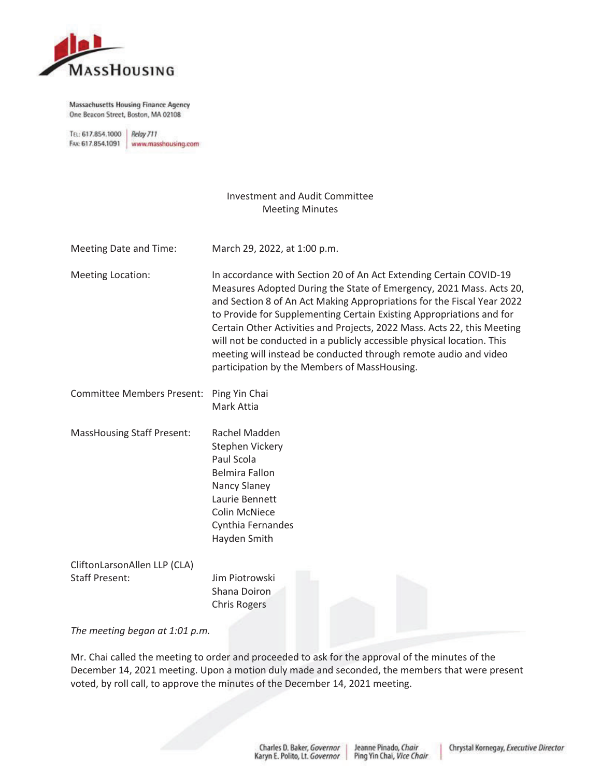

**Massachusetts Housing Finance Agency** One Beacon Street, Boston, MA 02108

TEL: 617.854.1000 Relay 711 FAX: 617.854.1091 www.masshousing.com

## Investment and Audit Committee Meeting Minutes

| Meeting Date and Time:   | March 29, 2022, at 1:00 p.m.                                                                                                                                                                                                                                                                                                                                                                                                                                                                                                                                         |
|--------------------------|----------------------------------------------------------------------------------------------------------------------------------------------------------------------------------------------------------------------------------------------------------------------------------------------------------------------------------------------------------------------------------------------------------------------------------------------------------------------------------------------------------------------------------------------------------------------|
| <b>Meeting Location:</b> | In accordance with Section 20 of An Act Extending Certain COVID-19<br>Measures Adopted During the State of Emergency, 2021 Mass. Acts 20,<br>and Section 8 of An Act Making Appropriations for the Fiscal Year 2022<br>to Provide for Supplementing Certain Existing Appropriations and for<br>Certain Other Activities and Projects, 2022 Mass. Acts 22, this Meeting<br>will not be conducted in a publicly accessible physical location. This<br>meeting will instead be conducted through remote audio and video<br>participation by the Members of MassHousing. |
|                          |                                                                                                                                                                                                                                                                                                                                                                                                                                                                                                                                                                      |

| Committee Members Present: Ping Yin Chai |            |
|------------------------------------------|------------|
|                                          | Mark Attia |
|                                          |            |

MassHousing Staff Present: Rachel Madden Stephen Vickery Paul Scola Belmira Fallon Nancy Slaney Laurie Bennett Colin McNiece Cynthia Fernandes Hayden Smith

CliftonLarsonAllen LLP (CLA) Staff Present: Jim Piotrowski

Shana Doiron Chris Rogers

*The meeting began at 1:01 p.m.* 

Mr. Chai called the meeting to order and proceeded to ask for the approval of the minutes of the December 14, 2021 meeting. Upon a motion duly made and seconded, the members that were present voted, by roll call, to approve the minutes of the December 14, 2021 meeting.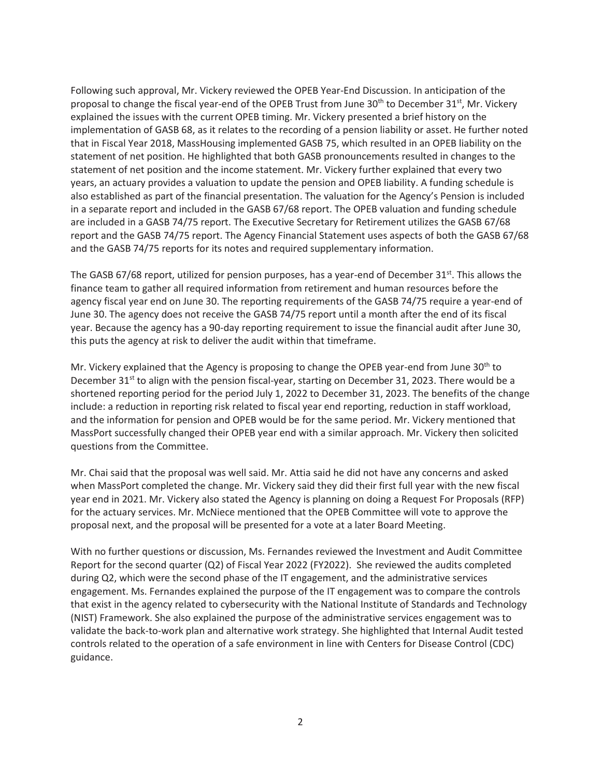Following such approval, Mr. Vickery reviewed the OPEB Year-End Discussion. In anticipation of the proposal to change the fiscal year-end of the OPEB Trust from June 30<sup>th</sup> to December  $31^{st}$ , Mr. Vickery explained the issues with the current OPEB timing. Mr. Vickery presented a brief history on the implementation of GASB 68, as it relates to the recording of a pension liability or asset. He further noted that in Fiscal Year 2018, MassHousing implemented GASB 75, which resulted in an OPEB liability on the statement of net position. He highlighted that both GASB pronouncements resulted in changes to the statement of net position and the income statement. Mr. Vickery further explained that every two years, an actuary provides a valuation to update the pension and OPEB liability. A funding schedule is also established as part of the financial presentation. The valuation for the Agency's Pension is included in a separate report and included in the GASB 67/68 report. The OPEB valuation and funding schedule are included in a GASB 74/75 report. The Executive Secretary for Retirement utilizes the GASB 67/68 report and the GASB 74/75 report. The Agency Financial Statement uses aspects of both the GASB 67/68 and the GASB 74/75 reports for its notes and required supplementary information.

The GASB 67/68 report, utilized for pension purposes, has a year-end of December  $31<sup>st</sup>$ . This allows the finance team to gather all required information from retirement and human resources before the agency fiscal year end on June 30. The reporting requirements of the GASB 74/75 require a year-end of June 30. The agency does not receive the GASB 74/75 report until a month after the end of its fiscal year. Because the agency has a 90-day reporting requirement to issue the financial audit after June 30, this puts the agency at risk to deliver the audit within that timeframe.

Mr. Vickery explained that the Agency is proposing to change the OPEB year-end from June  $30<sup>th</sup>$  to December 31<sup>st</sup> to align with the pension fiscal-year, starting on December 31, 2023. There would be a shortened reporting period for the period July 1, 2022 to December 31, 2023. The benefits of the change include: a reduction in reporting risk related to fiscal year end reporting, reduction in staff workload, and the information for pension and OPEB would be for the same period. Mr. Vickery mentioned that MassPort successfully changed their OPEB year end with a similar approach. Mr. Vickery then solicited questions from the Committee.

Mr. Chai said that the proposal was well said. Mr. Attia said he did not have any concerns and asked when MassPort completed the change. Mr. Vickery said they did their first full year with the new fiscal year end in 2021. Mr. Vickery also stated the Agency is planning on doing a Request For Proposals (RFP) for the actuary services. Mr. McNiece mentioned that the OPEB Committee will vote to approve the proposal next, and the proposal will be presented for a vote at a later Board Meeting.

With no further questions or discussion, Ms. Fernandes reviewed the Investment and Audit Committee Report for the second quarter (Q2) of Fiscal Year 2022 (FY2022). She reviewed the audits completed during Q2, which were the second phase of the IT engagement, and the administrative services engagement. Ms. Fernandes explained the purpose of the IT engagement was to compare the controls that exist in the agency related to cybersecurity with the National Institute of Standards and Technology (NIST) Framework. She also explained the purpose of the administrative services engagement was to validate the back-to-work plan and alternative work strategy. She highlighted that Internal Audit tested controls related to the operation of a safe environment in line with Centers for Disease Control (CDC) guidance.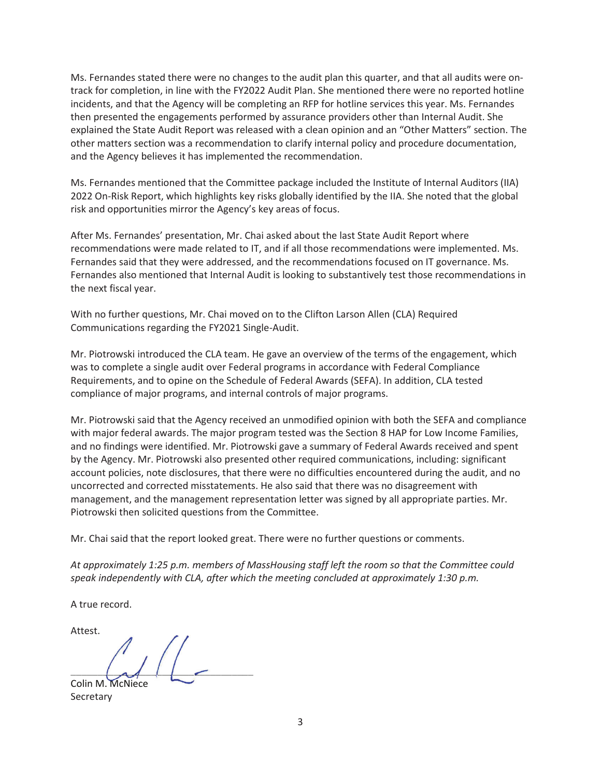Ms. Fernandes stated there were no changes to the audit plan this quarter, and that all audits were ontrack for completion, in line with the FY2022 Audit Plan. She mentioned there were no reported hotline incidents, and that the Agency will be completing an RFP for hotline services this year. Ms. Fernandes then presented the engagements performed by assurance providers other than Internal Audit. She explained the State Audit Report was released with a clean opinion and an "Other Matters" section. The other matters section was a recommendation to clarify internal policy and procedure documentation, and the Agency believes it has implemented the recommendation.

Ms. Fernandes mentioned that the Committee package included the Institute of Internal Auditors (IIA) 2022 On-Risk Report, which highlights key risks globally identified by the IIA. She noted that the global risk and opportunities mirror the Agency's key areas of focus.

After Ms. Fernandes' presentation, Mr. Chai asked about the last State Audit Report where recommendations were made related to IT, and if all those recommendations were implemented. Ms. Fernandes said that they were addressed, and the recommendations focused on IT governance. Ms. Fernandes also mentioned that Internal Audit is looking to substantively test those recommendations in the next fiscal year.

With no further questions, Mr. Chai moved on to the Clifton Larson Allen (CLA) Required Communications regarding the FY2021 Single-Audit.

Mr. Piotrowski introduced the CLA team. He gave an overview of the terms of the engagement, which was to complete a single audit over Federal programs in accordance with Federal Compliance Requirements, and to opine on the Schedule of Federal Awards (SEFA). In addition, CLA tested compliance of major programs, and internal controls of major programs.

Mr. Piotrowski said that the Agency received an unmodified opinion with both the SEFA and compliance with major federal awards. The major program tested was the Section 8 HAP for Low Income Families, and no findings were identified. Mr. Piotrowski gave a summary of Federal Awards received and spent by the Agency. Mr. Piotrowski also presented other required communications, including: significant account policies, note disclosures, that there were no difficulties encountered during the audit, and no uncorrected and corrected misstatements. He also said that there was no disagreement with management, and the management representation letter was signed by all appropriate parties. Mr. Piotrowski then solicited questions from the Committee.

Mr. Chai said that the report looked great. There were no further questions or comments.

*At approximately 1:25 p.m. members of MassHousing staff left the room so that the Committee could speak independently with CLA, after which the meeting concluded at approximately 1:30 p.m.*

A true record.

Attest.  $\left( \begin{array}{c} \begin{array}{c} \begin{array}{c} \end{array} \\ \end{array} \right) \end{array}$ Colin M. McNiece Colin M.

Secretary